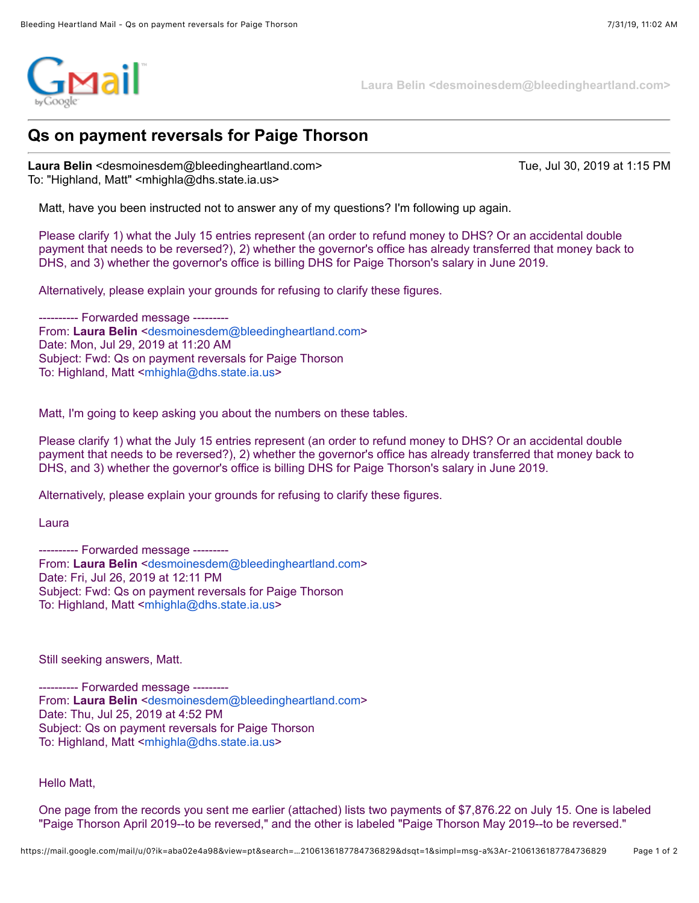

**Laura Belin <desmoinesdem@bleedingheartland.com>**

## **Qs on payment reversals for Paige Thorson**

**Laura Belin** <desmoinesdem@bleedingheartland.com> Tue, Jul 30, 2019 at 1:15 PM To: "Highland, Matt" <mhighla@dhs.state.ia.us>

Matt, have you been instructed not to answer any of my questions? I'm following up again.

Please clarify 1) what the July 15 entries represent (an order to refund money to DHS? Or an accidental double payment that needs to be reversed?), 2) whether the governor's office has already transferred that money back to DHS, and 3) whether the governor's office is billing DHS for Paige Thorson's salary in June 2019.

Alternatively, please explain your grounds for refusing to clarify these figures.

---------- Forwarded message --------- From: **Laura Belin** <[desmoinesdem@bleedingheartland.com>](mailto:desmoinesdem@bleedingheartland.com) Date: Mon, Jul 29, 2019 at 11:20 AM Subject: Fwd: Qs on payment reversals for Paige Thorson To: Highland, Matt <[mhighla@dhs.state.ia.us>](mailto:mhighla@dhs.state.ia.us)

Matt, I'm going to keep asking you about the numbers on these tables.

Please clarify 1) what the July 15 entries represent (an order to refund money to DHS? Or an accidental double payment that needs to be reversed?), 2) whether the governor's office has already transferred that money back to DHS, and 3) whether the governor's office is billing DHS for Paige Thorson's salary in June 2019.

Alternatively, please explain your grounds for refusing to clarify these figures.

Laura

---------- Forwarded message -------- From: Laura Belin <[desmoinesdem@bleedingheartland.com>](mailto:desmoinesdem@bleedingheartland.com) Date: Fri, Jul 26, 2019 at 12:11 PM Subject: Fwd: Qs on payment reversals for Paige Thorson To: Highland, Matt <[mhighla@dhs.state.ia.us>](mailto:mhighla@dhs.state.ia.us)

Still seeking answers, Matt.

---------- Forwarded message --------- From: **Laura Belin** <[desmoinesdem@bleedingheartland.com>](mailto:desmoinesdem@bleedingheartland.com) Date: Thu, Jul 25, 2019 at 4:52 PM Subject: Qs on payment reversals for Paige Thorson To: Highland, Matt <[mhighla@dhs.state.ia.us>](mailto:mhighla@dhs.state.ia.us)

Hello Matt,

One page from the records you sent me earlier (attached) lists two payments of \$7,876.22 on July 15. One is labeled "Paige Thorson April 2019--to be reversed," and the other is labeled "Paige Thorson May 2019--to be reversed."